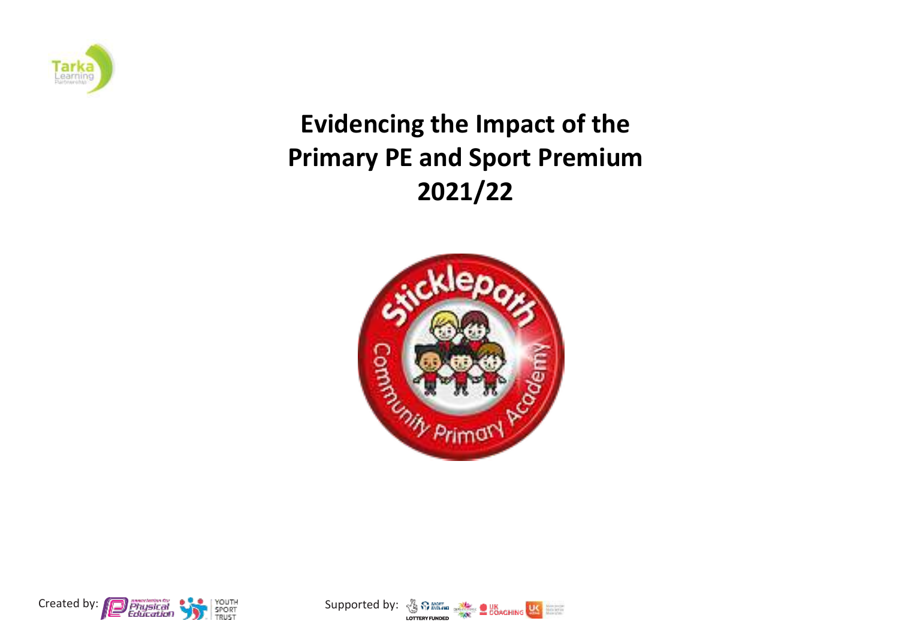

## **Evidencing the Impact of the Primary PE and Sport Premium 2021/22**





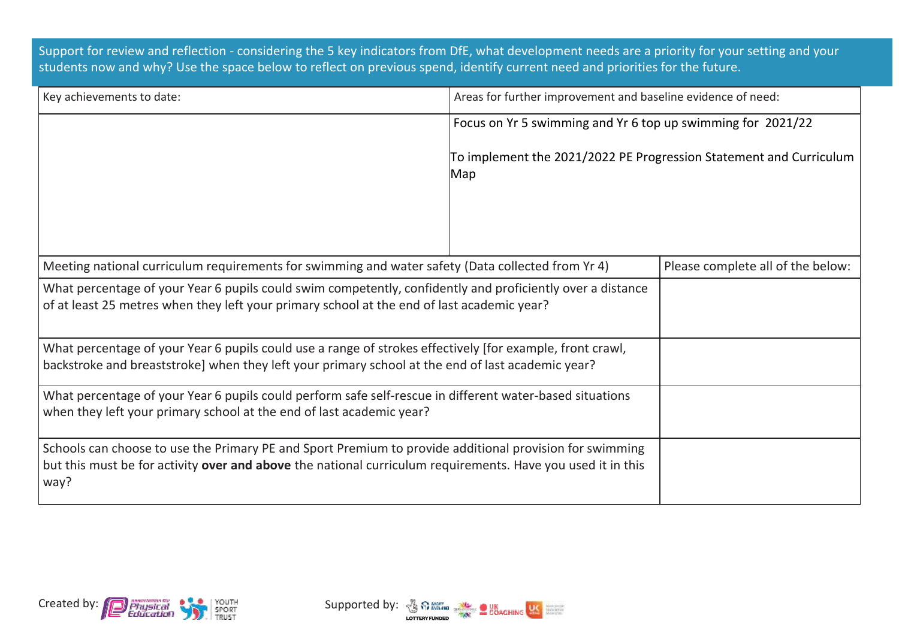Support for review and reflection - considering the 5 key indicators from DfE, what development needs are a priority for your setting and your students now and why? Use the space below to reflect on previous spend, identify current need and priorities for the future.

| Key achievements to date:                                                                                                                                                                                                      | Areas for further improvement and baseline evidence of need:              |  |  |
|--------------------------------------------------------------------------------------------------------------------------------------------------------------------------------------------------------------------------------|---------------------------------------------------------------------------|--|--|
|                                                                                                                                                                                                                                | Focus on Yr 5 swimming and Yr 6 top up swimming for 2021/22               |  |  |
|                                                                                                                                                                                                                                | To implement the 2021/2022 PE Progression Statement and Curriculum<br>Map |  |  |
| Meeting national curriculum requirements for swimming and water safety (Data collected from Yr 4)                                                                                                                              | Please complete all of the below:                                         |  |  |
| What percentage of your Year 6 pupils could swim competently, confidently and proficiently over a distance<br>of at least 25 metres when they left your primary school at the end of last academic year?                       |                                                                           |  |  |
| What percentage of your Year 6 pupils could use a range of strokes effectively [for example, front crawl,<br>backstroke and breaststroke] when they left your primary school at the end of last academic year?                 |                                                                           |  |  |
| What percentage of your Year 6 pupils could perform safe self-rescue in different water-based situations<br>when they left your primary school at the end of last academic year?                                               |                                                                           |  |  |
| Schools can choose to use the Primary PE and Sport Premium to provide additional provision for swimming<br>but this must be for activity over and above the national curriculum requirements. Have you used it in this<br>way? |                                                                           |  |  |



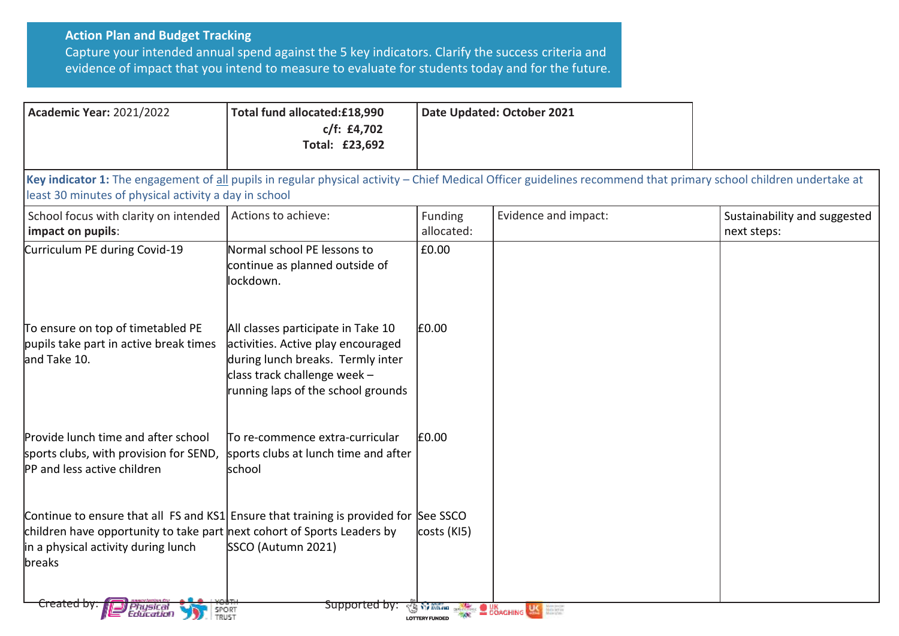## **Action Plan and Budget Tracking**

Capture your intended annual spend against the 5 key indicators. Clarify the success criteria and evidence of impact that you intend to measure to evaluate for students today and for the future.

| <b>Academic Year: 2021/2022</b>                                                                                                                                                                                                                                        | Total fund allocated:£18,990<br>c/f: f4,702<br>Total: £23,692                                                                                                                         | Date Updated: October 2021 |                                                                                                                                                                                                                                      |                                             |  |
|------------------------------------------------------------------------------------------------------------------------------------------------------------------------------------------------------------------------------------------------------------------------|---------------------------------------------------------------------------------------------------------------------------------------------------------------------------------------|----------------------------|--------------------------------------------------------------------------------------------------------------------------------------------------------------------------------------------------------------------------------------|---------------------------------------------|--|
| Key indicator 1: The engagement of all pupils in regular physical activity – Chief Medical Officer guidelines recommend that primary school children undertake at<br>least 30 minutes of physical activity a day in school                                             |                                                                                                                                                                                       |                            |                                                                                                                                                                                                                                      |                                             |  |
| School focus with clarity on intended  <br>impact on pupils:                                                                                                                                                                                                           | Actions to achieve:                                                                                                                                                                   | Funding<br>allocated:      | Evidence and impact:                                                                                                                                                                                                                 | Sustainability and suggested<br>next steps: |  |
| Curriculum PE during Covid-19                                                                                                                                                                                                                                          | Normal school PE lessons to<br>continue as planned outside of<br>lockdown.                                                                                                            | £0.00                      |                                                                                                                                                                                                                                      |                                             |  |
| To ensure on top of timetabled PE<br>pupils take part in active break times<br>and Take 10.                                                                                                                                                                            | All classes participate in Take 10<br>activities. Active play encouraged<br>during lunch breaks. Termly inter<br>class track challenge week $-$<br>running laps of the school grounds | £0.00                      |                                                                                                                                                                                                                                      |                                             |  |
| Provide lunch time and after school<br>sports clubs, with provision for SEND, sports clubs at lunch time and after<br>PP and less active children                                                                                                                      | To re-commence extra-curricular<br>school                                                                                                                                             | £0.00                      |                                                                                                                                                                                                                                      |                                             |  |
| Continue to ensure that all FS and KS1 Ensure that training is provided for See SSCO<br>children have opportunity to take part next cohort of Sports Leaders by<br>in a physical activity during lunch<br>breaks<br><del>Created by .</del><br>l Physical<br>Education | SSCO (Autumn 2021)<br>Supported by:                                                                                                                                                   | costs (KI5)                | <b>SO WARD ON BUILDING OF THE STATE OF STATE OF THE STATE OF THE STATE OF STATE OF STATE OF STATE OF STATE OF STATE OF STATE OF STATE OF STATE OF STATE OF STATE OF STATE OF STATE OF STATE OF STATE OF STATE OF STATE OF STATE </b> |                                             |  |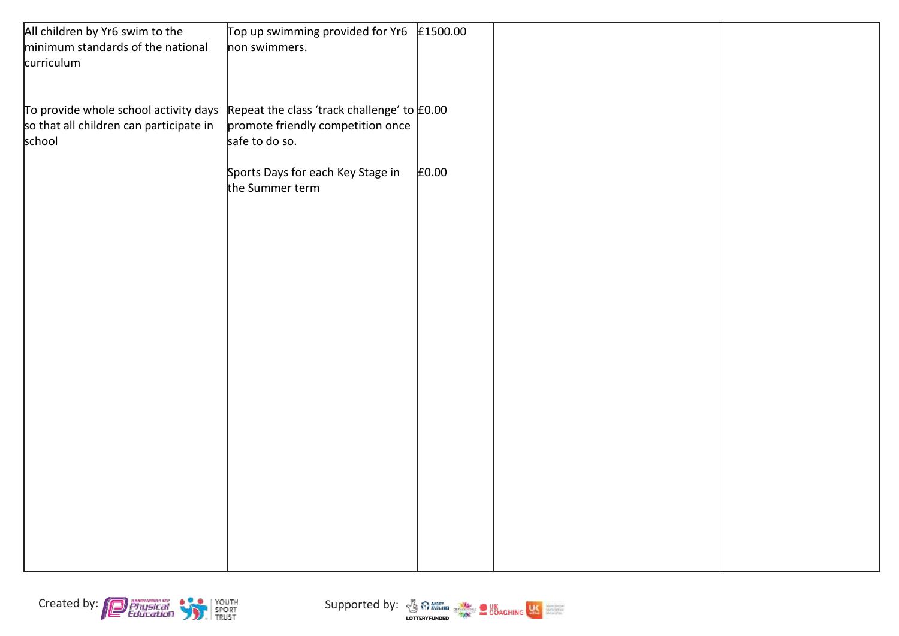| All children by Yr6 swim to the                                                                   | Top up swimming provided for Yr6  | £1500.00 |  |
|---------------------------------------------------------------------------------------------------|-----------------------------------|----------|--|
| minimum standards of the national                                                                 | non swimmers.                     |          |  |
| curriculum                                                                                        |                                   |          |  |
|                                                                                                   |                                   |          |  |
|                                                                                                   |                                   |          |  |
| To provide whole school activity days $\vert$ Repeat the class 'track challenge' to $\vert$ £0.00 |                                   |          |  |
| so that all children can participate in                                                           | promote friendly competition once |          |  |
| school                                                                                            | safe to do so.                    |          |  |
|                                                                                                   | Sports Days for each Key Stage in | £0.00    |  |
|                                                                                                   | the Summer term                   |          |  |
|                                                                                                   |                                   |          |  |
|                                                                                                   |                                   |          |  |
|                                                                                                   |                                   |          |  |
|                                                                                                   |                                   |          |  |
|                                                                                                   |                                   |          |  |
|                                                                                                   |                                   |          |  |
|                                                                                                   |                                   |          |  |
|                                                                                                   |                                   |          |  |
|                                                                                                   |                                   |          |  |
|                                                                                                   |                                   |          |  |
|                                                                                                   |                                   |          |  |
|                                                                                                   |                                   |          |  |
|                                                                                                   |                                   |          |  |
|                                                                                                   |                                   |          |  |
|                                                                                                   |                                   |          |  |
|                                                                                                   |                                   |          |  |
|                                                                                                   |                                   |          |  |
|                                                                                                   |                                   |          |  |
|                                                                                                   |                                   |          |  |
|                                                                                                   |                                   |          |  |
|                                                                                                   |                                   |          |  |
|                                                                                                   |                                   |          |  |



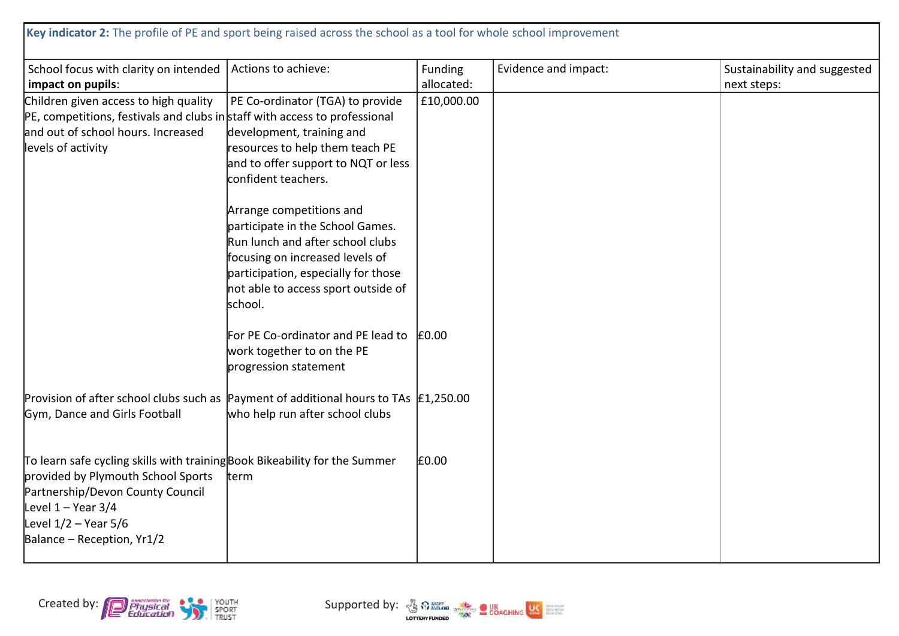| School focus with clarity on intended   Actions to achieve:<br>impact on pupils:                                                                                                                                                       |                                                                                                                                                                                                                              | Funding<br>allocated: | Evidence and impact: | Sustainability and suggested<br>next steps: |
|----------------------------------------------------------------------------------------------------------------------------------------------------------------------------------------------------------------------------------------|------------------------------------------------------------------------------------------------------------------------------------------------------------------------------------------------------------------------------|-----------------------|----------------------|---------------------------------------------|
| Children given access to high quality<br>PE, competitions, festivals and clubs in staff with access to professional<br>and out of school hours. Increased<br>levels of activity                                                        | PE Co-ordinator (TGA) to provide<br>development, training and<br>resources to help them teach PE<br>and to offer support to NQT or less<br>confident teachers.                                                               | £10,000.00            |                      |                                             |
|                                                                                                                                                                                                                                        | Arrange competitions and<br>participate in the School Games.<br>Run lunch and after school clubs<br>focusing on increased levels of<br>participation, especially for those<br>not able to access sport outside of<br>school. |                       |                      |                                             |
|                                                                                                                                                                                                                                        | For PE Co-ordinator and PE lead to<br>work together to on the PE<br>progression statement                                                                                                                                    | £0.00                 |                      |                                             |
| Provision of after school clubs such as Payment of additional hours to TAs $\vert$ £1,250.00<br>Gym, Dance and Girls Football                                                                                                          | who help run after school clubs                                                                                                                                                                                              |                       |                      |                                             |
| To learn safe cycling skills with training Book Bikeability for the Summer<br>provided by Plymouth School Sports<br>Partnership/Devon County Council<br>Level $1 -$ Year 3/4<br>Level $1/2$ – Year 5/6<br>Balance – Reception, $Yr1/2$ | term                                                                                                                                                                                                                         | £0.00                 |                      |                                             |



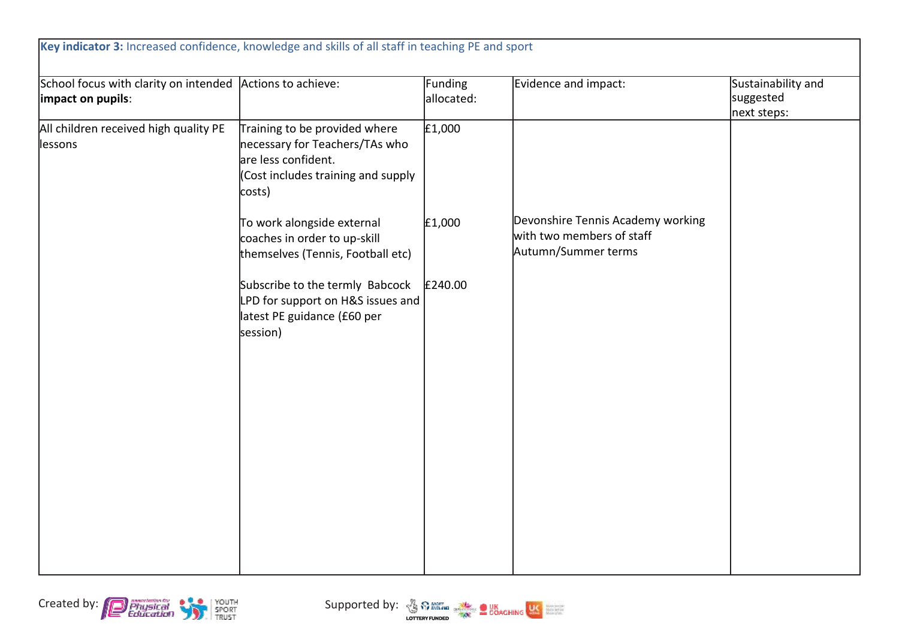| School focus with clarity on intended Actions to achieve:<br>impact on pupils: |                                                                                                                                        | Funding<br>allocated: | Evidence and impact:                                                                  | Sustainability and<br>suggested<br>next steps: |
|--------------------------------------------------------------------------------|----------------------------------------------------------------------------------------------------------------------------------------|-----------------------|---------------------------------------------------------------------------------------|------------------------------------------------|
| All children received high quality PE<br>lessons                               | Training to be provided where<br>necessary for Teachers/TAs who<br>are less confident.<br>(Cost includes training and supply<br>costs) | E1,000                |                                                                                       |                                                |
|                                                                                | To work alongside external<br>coaches in order to up-skill<br>themselves (Tennis, Football etc)                                        | £1,000                | Devonshire Tennis Academy working<br>with two members of staff<br>Autumn/Summer terms |                                                |
|                                                                                | Subscribe to the termly Babcock<br>LPD for support on H&S issues and<br>latest PE guidance (£60 per<br>session)                        | £240.00               |                                                                                       |                                                |
|                                                                                |                                                                                                                                        |                       |                                                                                       |                                                |
|                                                                                |                                                                                                                                        |                       |                                                                                       |                                                |



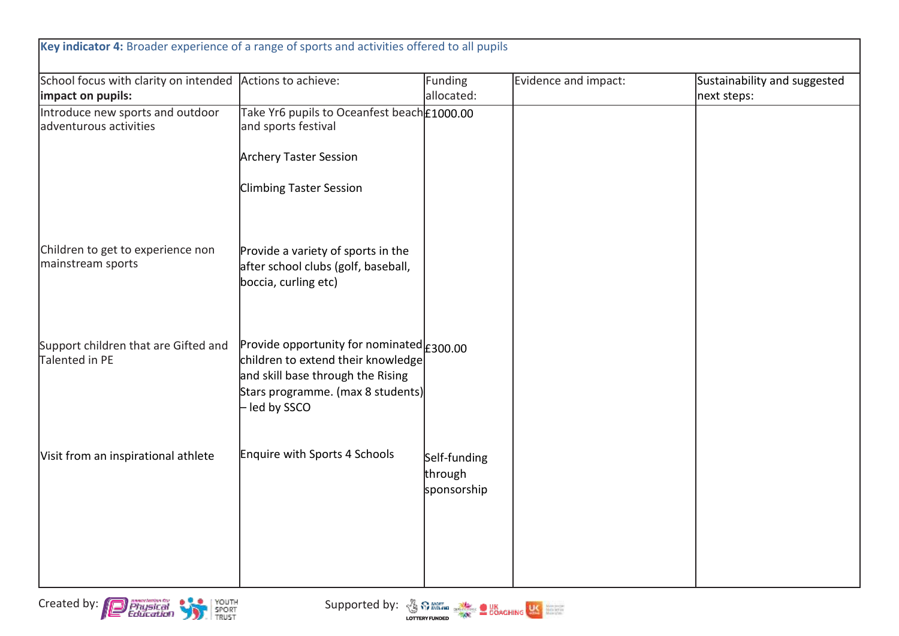| Introduce new sports and outdoor                       |                                                                                                                                                                                        |                                        | next steps: |
|--------------------------------------------------------|----------------------------------------------------------------------------------------------------------------------------------------------------------------------------------------|----------------------------------------|-------------|
| adventurous activities                                 | Take Yr6 pupils to Oceanfest beach £1000.00<br>and sports festival                                                                                                                     |                                        |             |
|                                                        | <b>Archery Taster Session</b>                                                                                                                                                          |                                        |             |
|                                                        | <b>Climbing Taster Session</b>                                                                                                                                                         |                                        |             |
| Children to get to experience non<br>mainstream sports | Provide a variety of sports in the<br>after school clubs (golf, baseball,<br>boccia, curling etc)                                                                                      |                                        |             |
| Support children that are Gifted and<br>Talented in PE | Provide opportunity for nominated $\epsilon_{300.00}$<br>children to extend their knowledge<br>and skill base through the Rising<br>Stars programme. (max 8 students)<br>- led by SSCO |                                        |             |
| Visit from an inspirational athlete                    | Enquire with Sports 4 Schools                                                                                                                                                          | Self-funding<br>through<br>sponsorship |             |



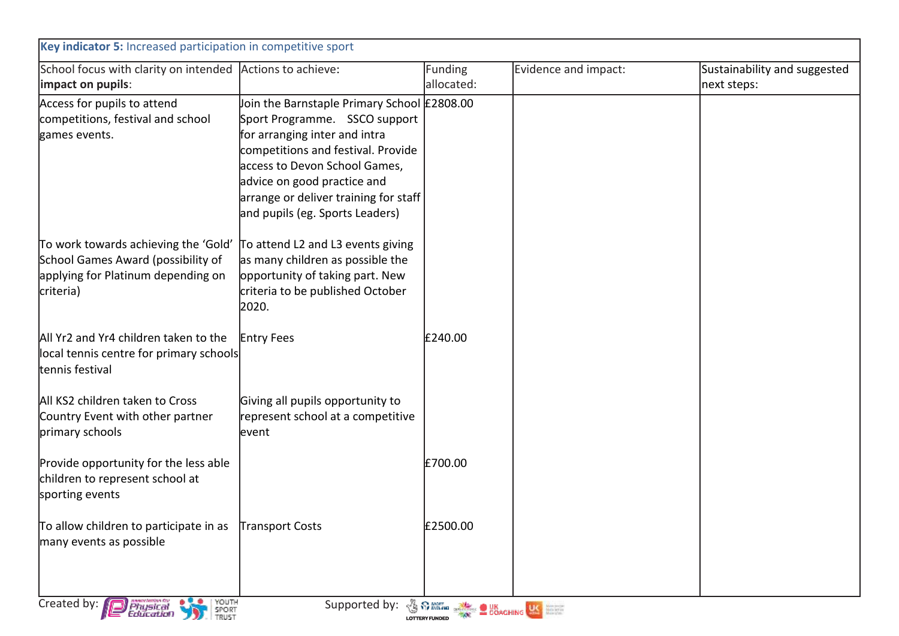| Key indicator 5: Increased participation in competitive sport   |                                             |                                             |                      |                              |  |
|-----------------------------------------------------------------|---------------------------------------------|---------------------------------------------|----------------------|------------------------------|--|
| School focus with clarity on intended Actions to achieve:       |                                             | <b>Funding</b>                              | Evidence and impact: | Sustainability and suggested |  |
| impact on pupils:                                               |                                             | allocated:                                  |                      | next steps:                  |  |
| Access for pupils to attend                                     | Join the Barnstaple Primary School E2808.00 |                                             |                      |                              |  |
| competitions, festival and school                               | Sport Programme. SSCO support               |                                             |                      |                              |  |
| games events.                                                   | for arranging inter and intra               |                                             |                      |                              |  |
|                                                                 | competitions and festival. Provide          |                                             |                      |                              |  |
|                                                                 | access to Devon School Games,               |                                             |                      |                              |  |
|                                                                 | advice on good practice and                 |                                             |                      |                              |  |
|                                                                 | arrange or deliver training for staff       |                                             |                      |                              |  |
|                                                                 | and pupils (eg. Sports Leaders)             |                                             |                      |                              |  |
| To work towards achieving the 'Gold'                            | To attend L2 and L3 events giving           |                                             |                      |                              |  |
| School Games Award (possibility of                              | as many children as possible the            |                                             |                      |                              |  |
| applying for Platinum depending on                              | opportunity of taking part. New             |                                             |                      |                              |  |
| criteria)                                                       | criteria to be published October            |                                             |                      |                              |  |
|                                                                 | 2020.                                       |                                             |                      |                              |  |
| All Yr2 and Yr4 children taken to the                           | <b>Entry Fees</b>                           | £240.00                                     |                      |                              |  |
| local tennis centre for primary schools                         |                                             |                                             |                      |                              |  |
| tennis festival                                                 |                                             |                                             |                      |                              |  |
| All KS2 children taken to Cross                                 | Giving all pupils opportunity to            |                                             |                      |                              |  |
| Country Event with other partner                                | represent school at a competitive           |                                             |                      |                              |  |
| primary schools                                                 | levent                                      |                                             |                      |                              |  |
|                                                                 |                                             |                                             |                      |                              |  |
| Provide opportunity for the less able                           |                                             | £700.00                                     |                      |                              |  |
| children to represent school at                                 |                                             |                                             |                      |                              |  |
| sporting events                                                 |                                             |                                             |                      |                              |  |
| To allow children to participate in as                          | Transport Costs                             | £2500.00                                    |                      |                              |  |
| many events as possible                                         |                                             |                                             |                      |                              |  |
|                                                                 |                                             |                                             |                      |                              |  |
|                                                                 |                                             |                                             |                      |                              |  |
|                                                                 |                                             |                                             |                      |                              |  |
| YOUTH<br>SPORT<br>TRUST<br>Created by:<br>Physical<br>Education | Supported by:                               | <b>SOUTH DESCRIPTION OF SCALE AND STATE</b> |                      |                              |  |